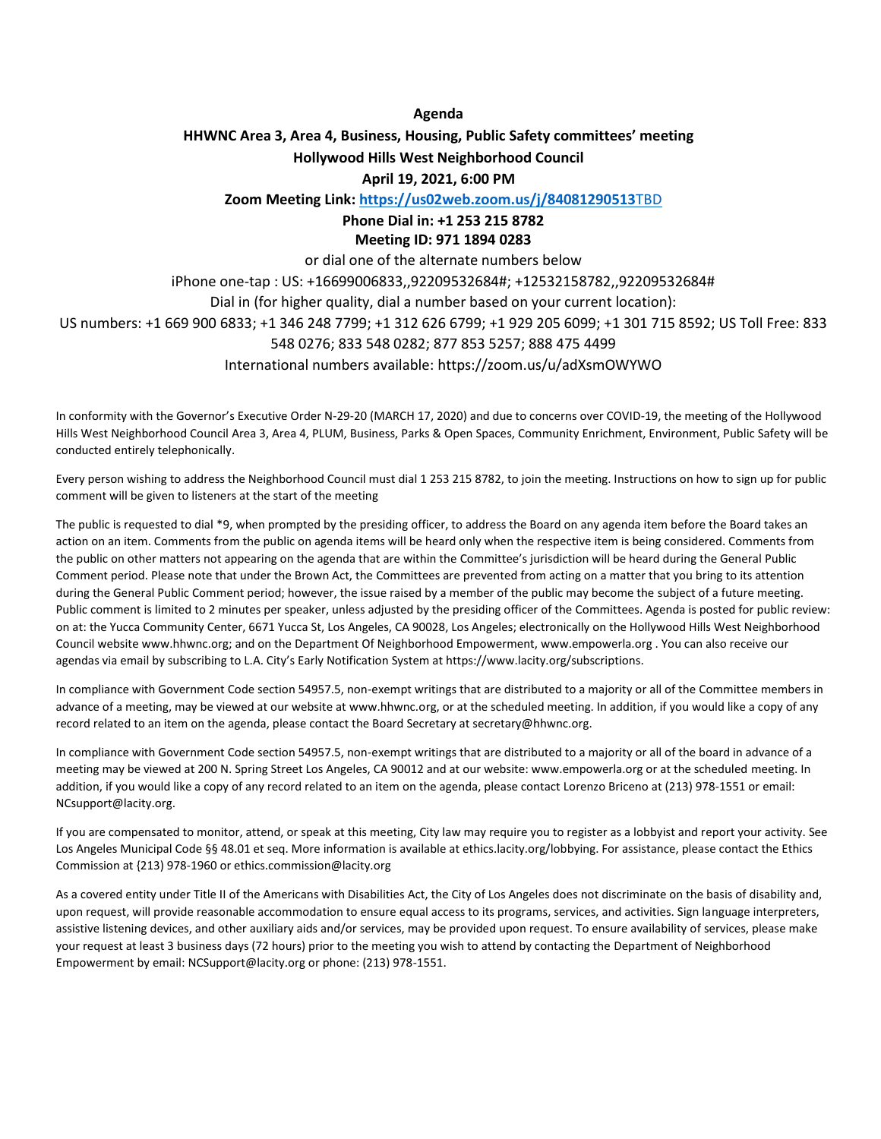#### **Agenda**

#### **HHWNC Area 3, Area 4, Business, Housing, Public Safety committees' meeting Hollywood Hills West Neighborhood Council April 19, 2021, 6:00 PM**

**Zoom Meeting Link[: https://us02web.zoom.us/j/84081290513](https://us02web.zoom.us/j/84081290513)**[TBD](https://zoom.us/j/92209532684or)

# **Phone Dial in: +1 253 215 8782**

#### **Meeting ID: 971 1894 0283**

or dial one of the alternate numbers below

iPhone one-tap : US: +16699006833,,92209532684#; +12532158782,,92209532684# Dial in (for higher quality, dial a number based on your current location):

US numbers: +1 669 900 6833; +1 346 248 7799; +1 312 626 6799; +1 929 205 6099; +1 301 715 8592; US Toll Free: 833

#### 548 0276; 833 548 0282; 877 853 5257; 888 475 4499

International numbers available: https://zoom.us/u/adXsmOWYWO

In conformity with the Governor's Executive Order N-29-20 (MARCH 17, 2020) and due to concerns over COVID-19, the meeting of the Hollywood Hills West Neighborhood Council Area 3, Area 4, PLUM, Business, Parks & Open Spaces, Community Enrichment, Environment, Public Safety will be conducted entirely telephonically.

Every person wishing to address the Neighborhood Council must dial 1 253 215 8782, to join the meeting. Instructions on how to sign up for public comment will be given to listeners at the start of the meeting

The public is requested to dial \*9, when prompted by the presiding officer, to address the Board on any agenda item before the Board takes an action on an item. Comments from the public on agenda items will be heard only when the respective item is being considered. Comments from the public on other matters not appearing on the agenda that are within the Committee's jurisdiction will be heard during the General Public Comment period. Please note that under the Brown Act, the Committees are prevented from acting on a matter that you bring to its attention during the General Public Comment period; however, the issue raised by a member of the public may become the subject of a future meeting. Public comment is limited to 2 minutes per speaker, unless adjusted by the presiding officer of the Committees. Agenda is posted for public review: on at: the Yucca Community Center, 6671 Yucca St, Los Angeles, CA 90028, Los Angeles; electronically on the Hollywood Hills West Neighborhood Council website www.hhwnc.org; and on the Department Of Neighborhood Empowerment, www.empowerla.org . You can also receive our agendas via email by subscribing to L.A. City's Early Notification System at https://www.lacity.org/subscriptions.

In compliance with Government Code section 54957.5, non-exempt writings that are distributed to a majority or all of the Committee members in advance of a meeting, may be viewed at our website at www.hhwnc.org, or at the scheduled meeting. In addition, if you would like a copy of any record related to an item on the agenda, please contact the Board Secretary at secretary@hhwnc.org.

In compliance with Government Code section 54957.5, non-exempt writings that are distributed to a majority or all of the board in advance of a meeting may be viewed at 200 N. Spring Street Los Angeles, CA 90012 and at our website: www.empowerla.org or at the scheduled meeting. In addition, if you would like a copy of any record related to an item on the agenda, please contact Lorenzo Briceno at (213) 978-1551 or email: NCsupport@lacity.org.

If you are compensated to monitor, attend, or speak at this meeting, City law may require you to register as a lobbyist and report your activity. See Los Angeles Municipal Code §§ 48.01 et seq. More information is available at ethics.lacity.org/lobbying. For assistance, please contact the Ethics Commission at {213) 978-1960 or ethics.commission@lacity.org

As a covered entity under Title II of the Americans with Disabilities Act, the City of Los Angeles does not discriminate on the basis of disability and, upon request, will provide reasonable accommodation to ensure equal access to its programs, services, and activities. Sign language interpreters, assistive listening devices, and other auxiliary aids and/or services, may be provided upon request. To ensure availability of services, please make your request at least 3 business days (72 hours) prior to the meeting you wish to attend by contacting the Department of Neighborhood Empowerment by email: NCSupport@lacity.org or phone: (213) 978-1551.